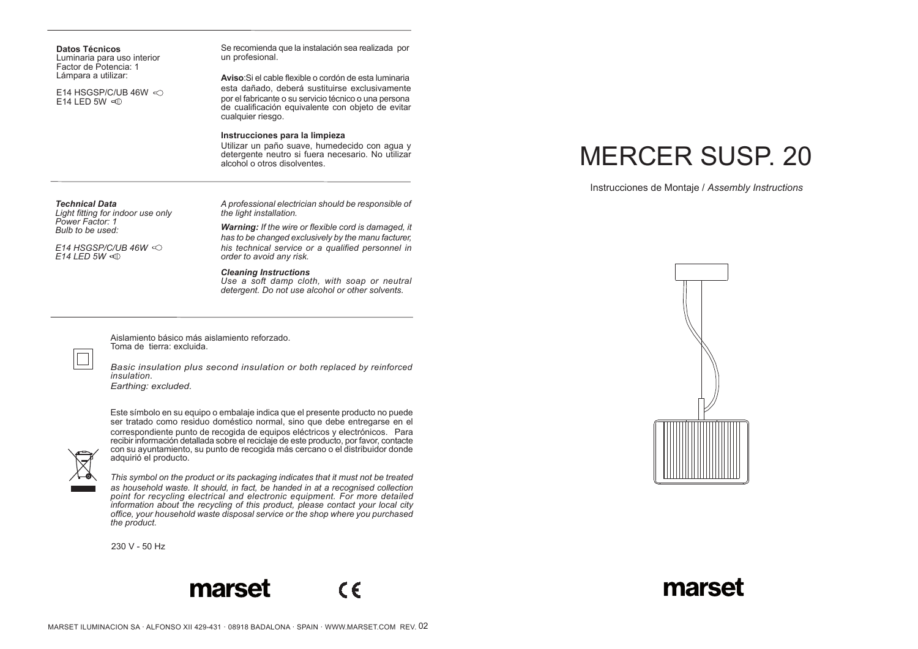| <b>Datos Técnicos</b>       |  |
|-----------------------------|--|
| Luminaria para uso interior |  |
| Factor de Potencia: 1       |  |
| Lámpara a utilizar:         |  |

E14 HSGSP/C/UB 46W  $\leq$ E14 LED 5W

Se recomienda que la instalación sea realizada por un profesional.

**Aviso**:Si el cable flexible o cordón de esta luminaria esta dañado, deberá sustituirse exclusivamente por el fabricante o su servicio técnico o una persona de cualificación equivalente con objeto de evitar cualquier riesgo.

## **Instrucciones para la limpieza**

Utilizar un paño suave, humedecido con agua y detergente neutro si fuera necesario. No utilizar alcohol o otros disolventes.

*Technical Data*

*Light fitting for indoor use only Power Factor: 1 Bulb to be used:* 

*E14 HSGSP/C/UB 46W E14 LED 5W*

*A professional electrician should be responsible of the light installation.*

*Warning: If the wire or flexible cord is damaged, it has to be changed exclusively by the manu facturer, his technical service or a qualified personnel in order to avoid any risk.*

## *Cleaning Instructions*

*Use a soft damp cloth, with soap or neutral detergent. Do not use alcohol or other solvents.*

 $\epsilon$ 

Aislamiento básico más aislamiento reforzado. Toma de tierra: excluida.

*Basic insulation plus second insulation or both replaced by reinforced insulation. Earthing: excluded.*

Este símbolo en su equipo o embalaje indica que el presente producto no puede



ser tratado como residuo doméstico normal, sino que debe entregarse en el correspondiente punto de recogida de equipos eléctricos y electrónicos. Para recibir información detallada sobre el reciclaje de este producto, por favor, contacte con su ayuntamiento, su punto de recogida más cercano o el distribuidor donde adquirió el producto.



*This symbol on the product or its packaging indicates that it must not be treated as household waste. It should, in fact, be handed in at a recognised collection point for recycling electrical and electronic equipment. For more detailed information about the recycling of this product, please contact your local city office, your household waste disposal service or the shop where you purchased the product.*

230 V - 50 Hz





Instrucciones de Montaje / *Assembly Instructions*